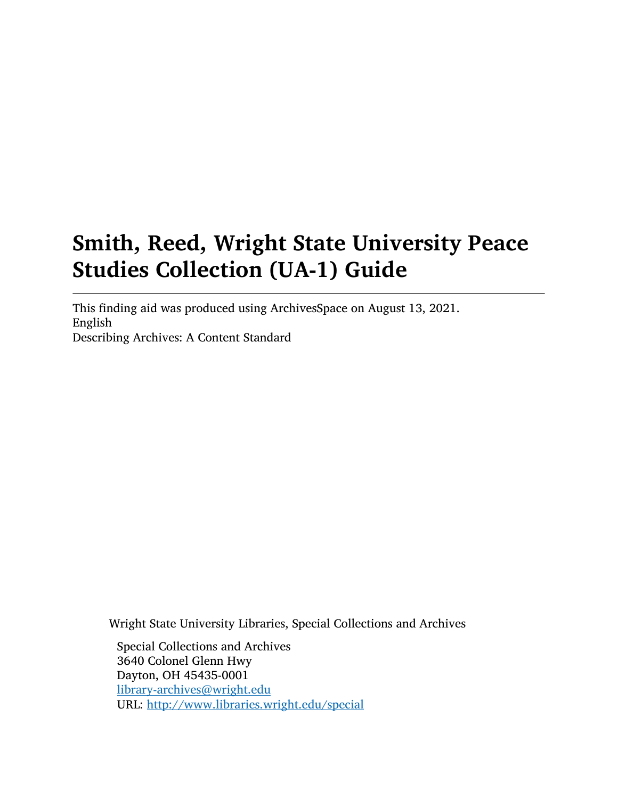# Smith, Reed, Wright State University Peace Studies Collection (UA-1) Guide

This finding aid was produced using ArchivesSpace on August 13, 2021. English Describing Archives: A Content Standard

Wright State University Libraries, Special Collections and Archives

Special Collections and Archives 3640 Colonel Glenn Hwy Dayton, OH 45435-0001 [library-archives@wright.edu](mailto:library-archives@wright.edu) URL: <http://www.libraries.wright.edu/special>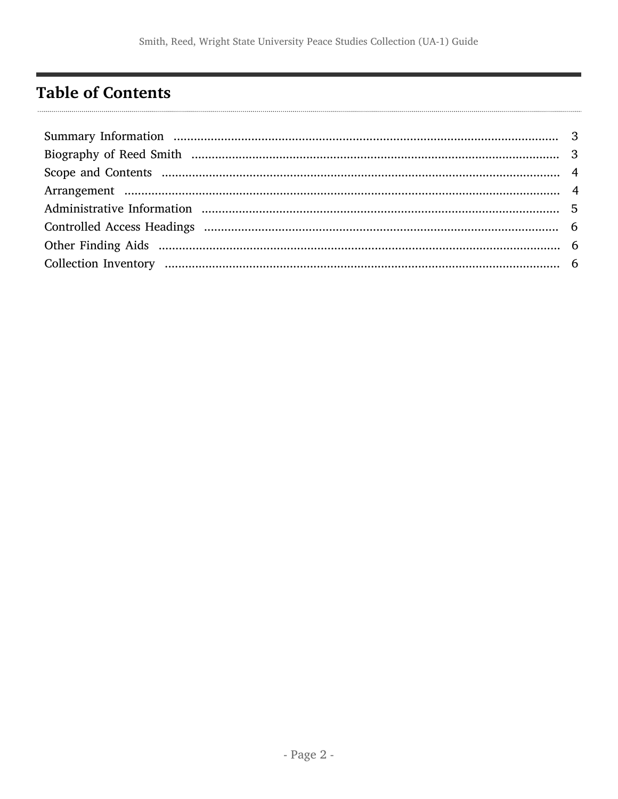## <span id="page-1-0"></span>**Table of Contents**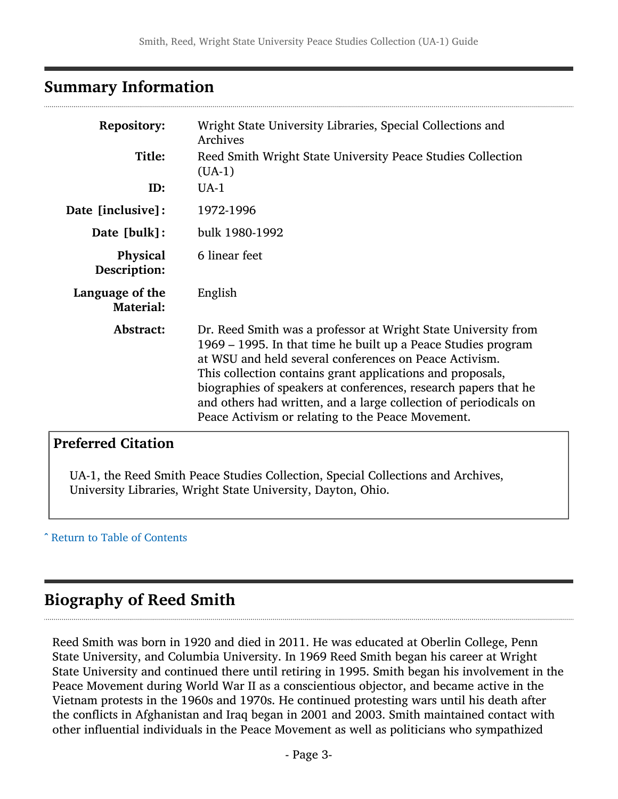## <span id="page-2-0"></span>Summary Information

| <b>Repository:</b><br>Title:<br>ID: | Wright State University Libraries, Special Collections and<br>Archives<br>Reed Smith Wright State University Peace Studies Collection<br>$(UA-1)$<br>$UA-1$                                                                                                                                                                                                                                                                                         |
|-------------------------------------|-----------------------------------------------------------------------------------------------------------------------------------------------------------------------------------------------------------------------------------------------------------------------------------------------------------------------------------------------------------------------------------------------------------------------------------------------------|
| Date [inclusive]:                   | 1972-1996                                                                                                                                                                                                                                                                                                                                                                                                                                           |
| Date [bulk]:                        | bulk 1980-1992                                                                                                                                                                                                                                                                                                                                                                                                                                      |
| <b>Physical</b><br>Description:     | 6 linear feet                                                                                                                                                                                                                                                                                                                                                                                                                                       |
| Language of the<br><b>Material:</b> | English                                                                                                                                                                                                                                                                                                                                                                                                                                             |
| Abstract:                           | Dr. Reed Smith was a professor at Wright State University from<br>1969 – 1995. In that time he built up a Peace Studies program<br>at WSU and held several conferences on Peace Activism.<br>This collection contains grant applications and proposals,<br>biographies of speakers at conferences, research papers that he<br>and others had written, and a large collection of periodicals on<br>Peace Activism or relating to the Peace Movement. |

## Preferred Citation

UA-1, the Reed Smith Peace Studies Collection, Special Collections and Archives, University Libraries, Wright State University, Dayton, Ohio.

^ [Return to Table of Contents](#page-1-0)

## <span id="page-2-1"></span>Biography of Reed Smith

Reed Smith was born in 1920 and died in 2011. He was educated at Oberlin College, Penn State University, and Columbia University. In 1969 Reed Smith began his career at Wright State University and continued there until retiring in 1995. Smith began his involvement in the Peace Movement during World War II as a conscientious objector, and became active in the Vietnam protests in the 1960s and 1970s. He continued protesting wars until his death after the conflicts in Afghanistan and Iraq began in 2001 and 2003. Smith maintained contact with other influential individuals in the Peace Movement as well as politicians who sympathized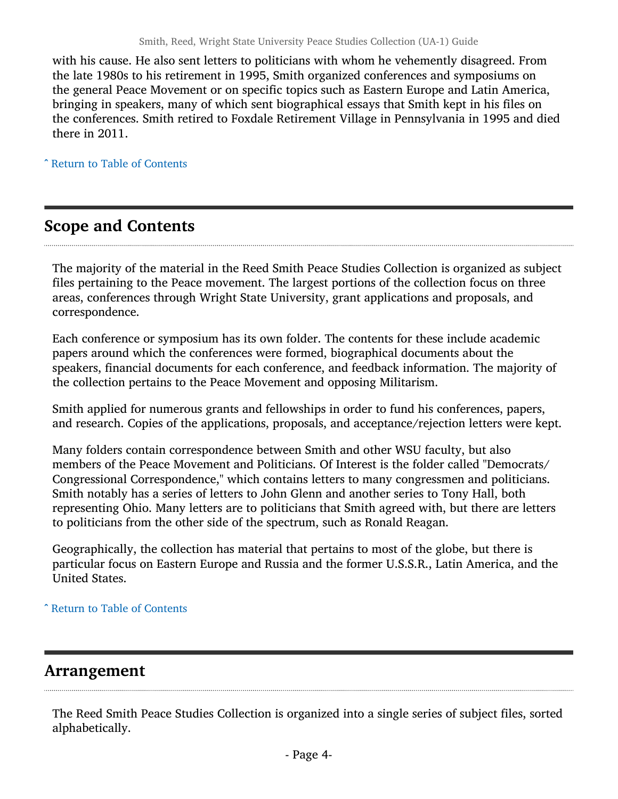with his cause. He also sent letters to politicians with whom he vehemently disagreed. From the late 1980s to his retirement in 1995, Smith organized conferences and symposiums on the general Peace Movement or on specific topics such as Eastern Europe and Latin America, bringing in speakers, many of which sent biographical essays that Smith kept in his files on the conferences. Smith retired to Foxdale Retirement Village in Pennsylvania in 1995 and died there in 2011.

^ [Return to Table of Contents](#page-1-0)

## <span id="page-3-0"></span>Scope and Contents

The majority of the material in the Reed Smith Peace Studies Collection is organized as subject files pertaining to the Peace movement. The largest portions of the collection focus on three areas, conferences through Wright State University, grant applications and proposals, and correspondence.

Each conference or symposium has its own folder. The contents for these include academic papers around which the conferences were formed, biographical documents about the speakers, financial documents for each conference, and feedback information. The majority of the collection pertains to the Peace Movement and opposing Militarism.

Smith applied for numerous grants and fellowships in order to fund his conferences, papers, and research. Copies of the applications, proposals, and acceptance/rejection letters were kept.

Many folders contain correspondence between Smith and other WSU faculty, but also members of the Peace Movement and Politicians. Of Interest is the folder called "Democrats/ Congressional Correspondence," which contains letters to many congressmen and politicians. Smith notably has a series of letters to John Glenn and another series to Tony Hall, both representing Ohio. Many letters are to politicians that Smith agreed with, but there are letters to politicians from the other side of the spectrum, such as Ronald Reagan.

Geographically, the collection has material that pertains to most of the globe, but there is particular focus on Eastern Europe and Russia and the former U.S.S.R., Latin America, and the United States.

^ [Return to Table of Contents](#page-1-0)

## <span id="page-3-1"></span>Arrangement

The Reed Smith Peace Studies Collection is organized into a single series of subject files, sorted alphabetically.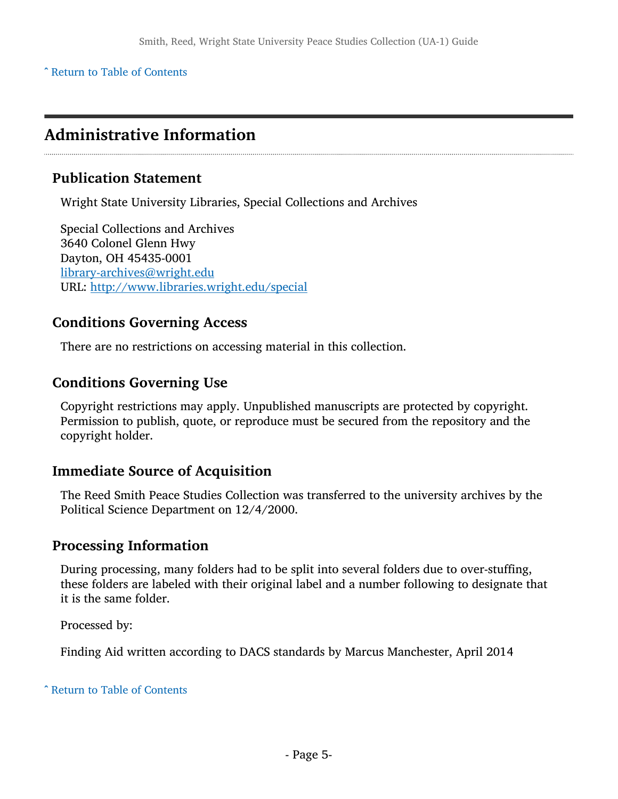^ [Return to Table of Contents](#page-1-0)

## <span id="page-4-0"></span>Administrative Information

### Publication Statement

Wright State University Libraries, Special Collections and Archives

Special Collections and Archives 3640 Colonel Glenn Hwy Dayton, OH 45435-0001 [library-archives@wright.edu](mailto:library-archives@wright.edu) URL: <http://www.libraries.wright.edu/special>

#### Conditions Governing Access

There are no restrictions on accessing material in this collection.

## Conditions Governing Use

Copyright restrictions may apply. Unpublished manuscripts are protected by copyright. Permission to publish, quote, or reproduce must be secured from the repository and the copyright holder.

## Immediate Source of Acquisition

The Reed Smith Peace Studies Collection was transferred to the university archives by the Political Science Department on 12/4/2000.

## Processing Information

During processing, many folders had to be split into several folders due to over-stuffing, these folders are labeled with their original label and a number following to designate that it is the same folder.

Processed by:

Finding Aid written according to DACS standards by Marcus Manchester, April 2014

^ [Return to Table of Contents](#page-1-0)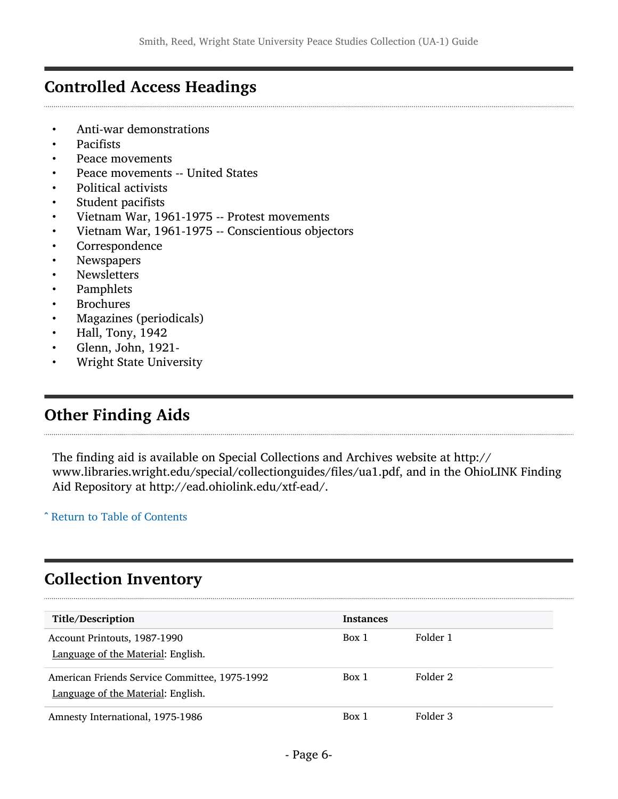## <span id="page-5-0"></span>Controlled Access Headings

- Anti-war demonstrations
- Pacifists
- Peace movements
- Peace movements -- United States
- Political activists
- Student pacifists
- Vietnam War, 1961-1975 -- Protest movements
- Vietnam War, 1961-1975 -- Conscientious objectors
- **Correspondence**
- **Newspapers**
- **Newsletters**
- Pamphlets
- **Brochures**
- Magazines (periodicals)
- Hall, Tony, 1942
- Glenn, John, 1921-
- Wright State University

## <span id="page-5-1"></span>Other Finding Aids

The finding aid is available on Special Collections and Archives website at http:// [www.libraries.wright.edu/special/collectionguides/files/ua1.pdf,](www.libraries.wright.edu/special/collectionguides/files/ua1.pdf) and in the OhioLINK Finding Aid Repository at<http://ead.ohiolink.edu/xtf-ead>/.

^ [Return to Table of Contents](#page-1-0)

## <span id="page-5-2"></span>Collection Inventory

| Title/Description                                                                   | <b>Instances</b> |          |
|-------------------------------------------------------------------------------------|------------------|----------|
| Account Printouts, 1987-1990<br>Language of the Material: English.                  | Box 1            | Folder 1 |
| American Friends Service Committee, 1975-1992<br>Language of the Material: English. | Box 1            | Folder 2 |
| Amnesty International, 1975-1986                                                    | Box 1            | Folder 3 |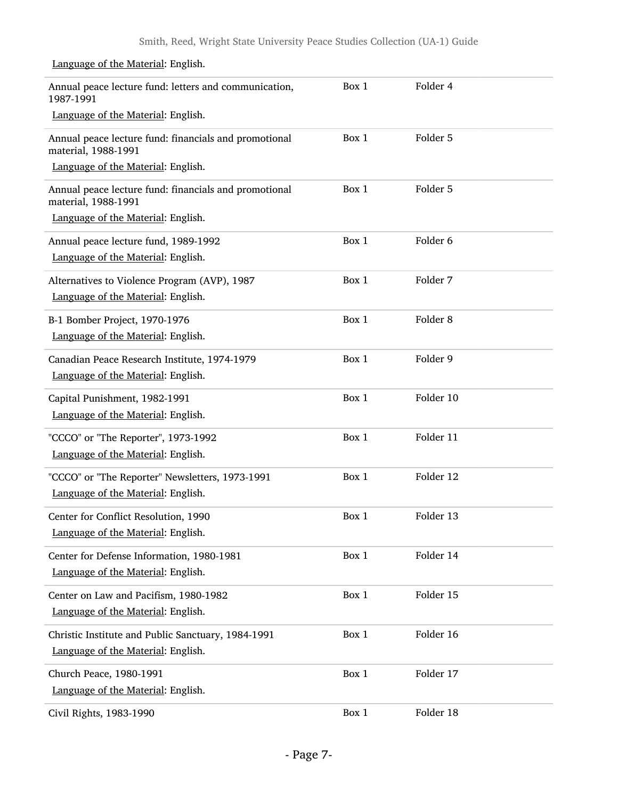| Annual peace lecture fund: letters and communication,<br>1987-1991           | Box 1 | Folder 4            |  |
|------------------------------------------------------------------------------|-------|---------------------|--|
| Language of the Material: English.                                           |       |                     |  |
| Annual peace lecture fund: financials and promotional<br>material, 1988-1991 | Box 1 | Folder 5            |  |
| Language of the Material: English.                                           |       |                     |  |
| Annual peace lecture fund: financials and promotional<br>material, 1988-1991 | Box 1 | Folder 5            |  |
| Language of the Material: English.                                           |       |                     |  |
| Annual peace lecture fund, 1989-1992                                         | Box 1 | Folder <sub>6</sub> |  |
| Language of the Material: English.                                           |       |                     |  |
| Alternatives to Violence Program (AVP), 1987                                 | Box 1 | Folder 7            |  |
| Language of the Material: English.                                           |       |                     |  |
| B-1 Bomber Project, 1970-1976                                                | Box 1 | Folder <sub>8</sub> |  |
| Language of the Material: English.                                           |       |                     |  |
| Canadian Peace Research Institute, 1974-1979                                 | Box 1 | Folder 9            |  |
| Language of the Material: English.                                           |       |                     |  |
| Capital Punishment, 1982-1991                                                | Box 1 | Folder 10           |  |
| Language of the Material: English.                                           |       |                     |  |
| "CCCO" or "The Reporter", 1973-1992                                          | Box 1 | Folder 11           |  |
| Language of the Material: English.                                           |       |                     |  |
| "CCCO" or "The Reporter" Newsletters, 1973-1991                              | Box 1 | Folder 12           |  |
| Language of the Material: English.                                           |       |                     |  |
| Center for Conflict Resolution, 1990                                         | Box 1 | Folder 13           |  |
| Language of the Material: English.                                           |       |                     |  |
| Center for Defense Information, 1980-1981                                    | Box 1 | Folder 14           |  |
| Language of the Material: English.                                           |       |                     |  |
| Center on Law and Pacifism, 1980-1982                                        | Box 1 | Folder 15           |  |
| Language of the Material: English.                                           |       |                     |  |
| Christic Institute and Public Sanctuary, 1984-1991                           | Box 1 | Folder 16           |  |
| Language of the Material: English.                                           |       |                     |  |
| Church Peace, 1980-1991                                                      | Box 1 | Folder 17           |  |
| Language of the Material: English.                                           |       |                     |  |
| Civil Rights, 1983-1990                                                      | Box 1 | Folder 18           |  |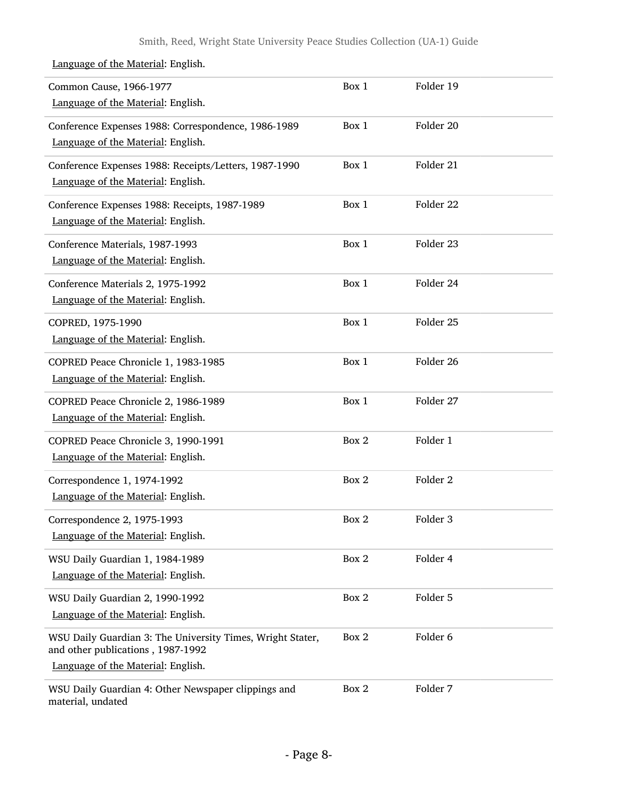| Common Cause, 1966-1977<br>Language of the Material: English.                                                                         | Box 1 | Folder 19           |
|---------------------------------------------------------------------------------------------------------------------------------------|-------|---------------------|
| Conference Expenses 1988: Correspondence, 1986-1989<br>Language of the Material: English.                                             | Box 1 | Folder 20           |
| Conference Expenses 1988: Receipts/Letters, 1987-1990<br>Language of the Material: English.                                           | Box 1 | Folder 21           |
| Conference Expenses 1988: Receipts, 1987-1989<br>Language of the Material: English.                                                   | Box 1 | Folder 22           |
| Conference Materials, 1987-1993<br>Language of the Material: English.                                                                 | Box 1 | Folder 23           |
| Conference Materials 2, 1975-1992<br>Language of the Material: English.                                                               | Box 1 | Folder 24           |
| COPRED, 1975-1990<br>Language of the Material: English.                                                                               | Box 1 | Folder 25           |
| COPRED Peace Chronicle 1, 1983-1985<br>Language of the Material: English.                                                             | Box 1 | Folder 26           |
| COPRED Peace Chronicle 2, 1986-1989<br>Language of the Material: English.                                                             | Box 1 | Folder 27           |
| COPRED Peace Chronicle 3, 1990-1991<br>Language of the Material: English.                                                             | Box 2 | Folder 1            |
| Correspondence 1, 1974-1992<br>Language of the Material: English.                                                                     | Box 2 | Folder <sub>2</sub> |
| Correspondence 2, 1975-1993<br>Language of the Material: English.                                                                     | Box 2 | Folder 3            |
| WSU Daily Guardian 1, 1984-1989<br>Language of the Material: English.                                                                 | Box 2 | Folder 4            |
| WSU Daily Guardian 2, 1990-1992<br>Language of the Material: English.                                                                 | Box 2 | Folder 5            |
| WSU Daily Guardian 3: The University Times, Wright Stater,<br>and other publications, 1987-1992<br>Language of the Material: English. | Box 2 | Folder 6            |
| WSU Daily Guardian 4: Other Newspaper clippings and<br>material, undated                                                              | Box 2 | Folder 7            |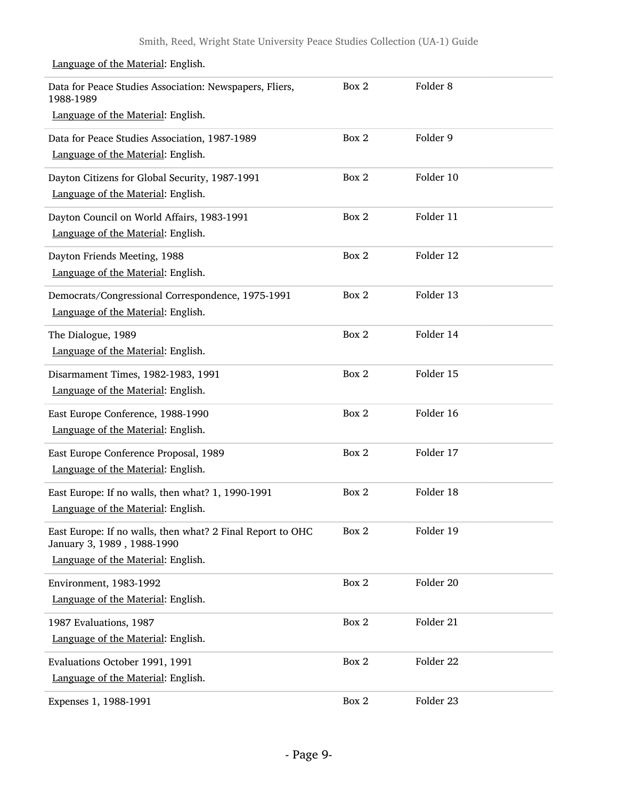| Data for Peace Studies Association: Newspapers, Fliers,<br>1988-1989<br>Language of the Material: English.                     | Box 2 | Folder <sub>8</sub> |  |
|--------------------------------------------------------------------------------------------------------------------------------|-------|---------------------|--|
| Data for Peace Studies Association, 1987-1989<br>Language of the Material: English.                                            | Box 2 | Folder 9            |  |
| Dayton Citizens for Global Security, 1987-1991<br>Language of the Material: English.                                           | Box 2 | Folder 10           |  |
| Dayton Council on World Affairs, 1983-1991<br>Language of the Material: English.                                               | Box 2 | Folder 11           |  |
| Dayton Friends Meeting, 1988<br>Language of the Material: English.                                                             | Box 2 | Folder 12           |  |
| Democrats/Congressional Correspondence, 1975-1991<br>Language of the Material: English.                                        | Box 2 | Folder 13           |  |
| The Dialogue, 1989<br>Language of the Material: English.                                                                       | Box 2 | Folder 14           |  |
| Disarmament Times, 1982-1983, 1991<br>Language of the Material: English.                                                       | Box 2 | Folder 15           |  |
| East Europe Conference, 1988-1990<br>Language of the Material: English.                                                        | Box 2 | Folder 16           |  |
| East Europe Conference Proposal, 1989<br>Language of the Material: English.                                                    | Box 2 | Folder 17           |  |
| East Europe: If no walls, then what? 1, 1990-1991<br>Language of the Material: English.                                        | Box 2 | Folder 18           |  |
| East Europe: If no walls, then what? 2 Final Report to OHC<br>January 3, 1989, 1988-1990<br>Language of the Material: English. | Box 2 | Folder 19           |  |
| Environment, 1983-1992<br>Language of the Material: English.                                                                   | Box 2 | Folder 20           |  |
| 1987 Evaluations, 1987<br>Language of the Material: English.                                                                   | Box 2 | Folder 21           |  |
| Evaluations October 1991, 1991<br>Language of the Material: English.                                                           | Box 2 | Folder 22           |  |
| Expenses 1, 1988-1991                                                                                                          | Box 2 | Folder 23           |  |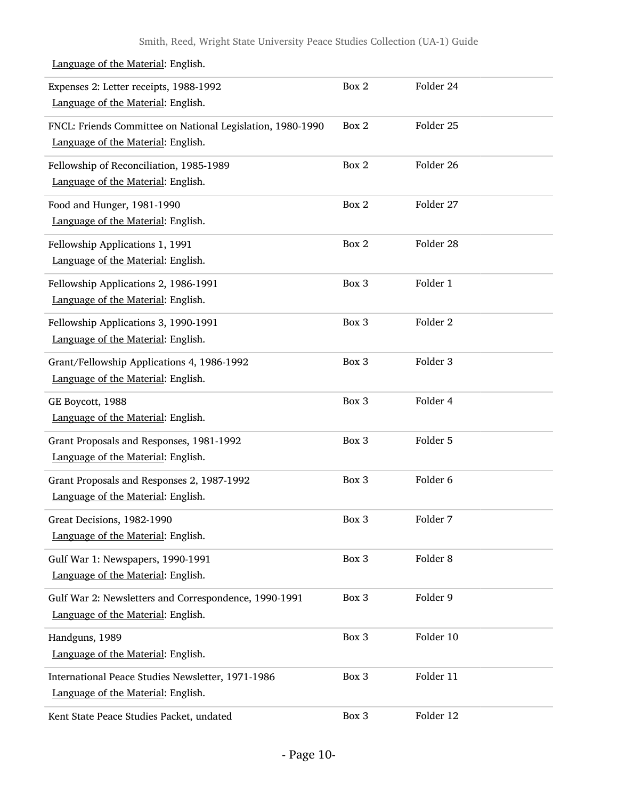#### Expenses 2: Letter receipts, 1988-1992 Language of the Material: English. Box 2 Folder 24 FNCL: Friends Committee on National Legislation, 1980-1990 Language of the Material: English. Box 2 Folder 25 Fellowship of Reconciliation, 1985-1989 Language of the Material: English. Box 2 Folder 26 Food and Hunger, 1981-1990 Language of the Material: English. Box 2 Folder 27 Fellowship Applications 1, 1991 Language of the Material: English. Box 2 Folder 28 Fellowship Applications 2, 1986-1991 Language of the Material: English. Box 3 Folder 1 Fellowship Applications 3, 1990-1991 Language of the Material: English. Box 3 Folder 2 Grant/Fellowship Applications 4, 1986-1992 Language of the Material: English. Box 3 Folder 3 GE Boycott, 1988 Language of the Material: English. Box 3 Folder 4 Grant Proposals and Responses, 1981-1992 Language of the Material: English. Box 3 Folder 5 Grant Proposals and Responses 2, 1987-1992 Language of the Material: English. Box 3 Folder 6 Great Decisions, 1982-1990 Language of the Material: English. Box 3 Folder 7 Gulf War 1: Newspapers, 1990-1991 Language of the Material: English. Box 3 Folder 8 Gulf War 2: Newsletters and Correspondence, 1990-1991 Language of the Material: English. Box 3 Folder 9 Handguns, 1989 Language of the Material: English. Box 3 Folder 10 International Peace Studies Newsletter, 1971-1986 Language of the Material: English. Box 3 Folder 11 Kent State Peace Studies Packet, undated Box 3 Folder 12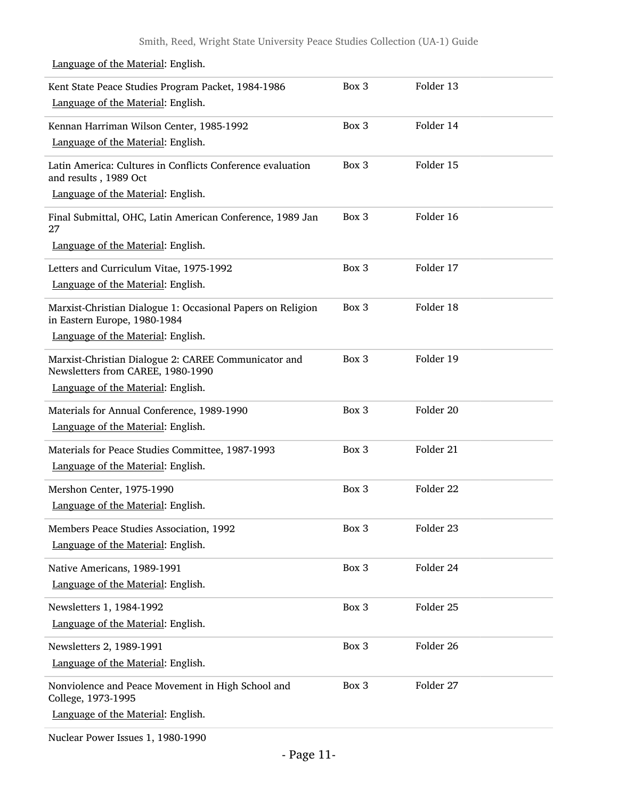Kent State Peace Studies Program Packet, 1984-1986 Language of the Material: English. Box 3 Folder 13 Kennan Harriman Wilson Center, 1985-1992 Language of the Material: English. Box 3 Folder 14 Latin America: Cultures in Conflicts Conference evaluation and results , 1989 Oct Language of the Material: English. Box 3 Folder 15 Final Submittal, OHC, Latin American Conference, 1989 Jan 27 Box 3 Folder 16 Language of the Material: English. Letters and Curriculum Vitae, 1975-1992 Language of the Material: English. Box 3 Folder 17 Marxist-Christian Dialogue 1: Occasional Papers on Religion in Eastern Europe, 1980-1984 Language of the Material: English. Box 3 Folder 18 Marxist-Christian Dialogue 2: CAREE Communicator and Newsletters from CAREE, 1980-1990 Language of the Material: English. Box 3 Folder 19 Materials for Annual Conference, 1989-1990 Language of the Material: English. Box 3 Folder 20 Materials for Peace Studies Committee, 1987-1993 Language of the Material: English. Box 3 Folder 21 Mershon Center, 1975-1990 Language of the Material: English. Box 3 Folder 22 Members Peace Studies Association, 1992 Language of the Material: English. Box 3 Folder 23 Native Americans, 1989-1991 Language of the Material: English. Box 3 Folder 24 Newsletters 1, 1984-1992 Language of the Material: English. Box 3 Folder 25 Newsletters 2, 1989-1991 Language of the Material: English. Box 3 Folder 26 Nonviolence and Peace Movement in High School and College, 1973-1995 Language of the Material: English. Box 3 Folder 27

#### Language of the Material: English.

Nuclear Power Issues 1, 1980-1990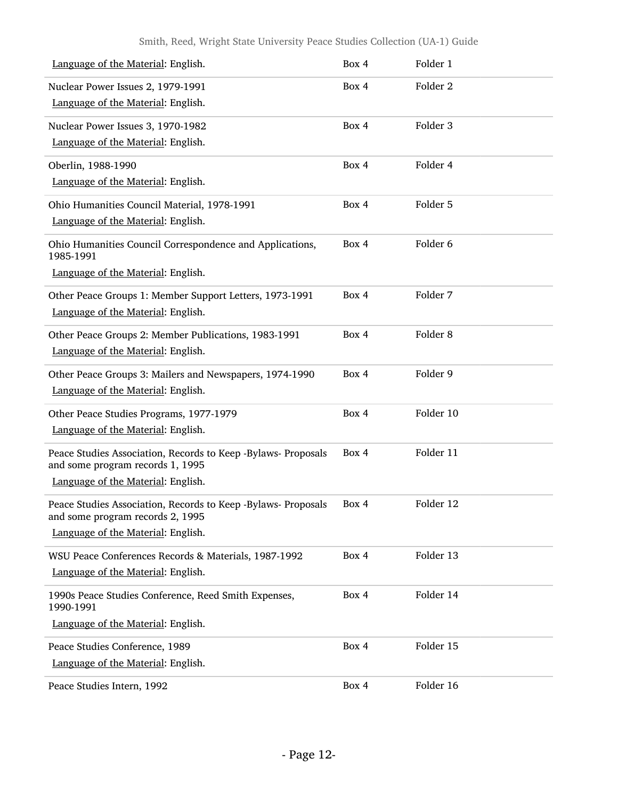#### Smith, Reed, Wright State University Peace Studies Collection (UA-1) Guide

| Language of the Material: English.                                                                | Box 4 | Folder 1            |
|---------------------------------------------------------------------------------------------------|-------|---------------------|
| Nuclear Power Issues 2, 1979-1991                                                                 | Box 4 | Folder <sub>2</sub> |
| Language of the Material: English.                                                                |       |                     |
| Nuclear Power Issues 3, 1970-1982                                                                 | Box 4 | Folder 3            |
| Language of the Material: English.                                                                |       |                     |
| Oberlin, 1988-1990                                                                                | Box 4 | Folder 4            |
| Language of the Material: English.                                                                |       |                     |
| Ohio Humanities Council Material, 1978-1991                                                       | Box 4 | Folder 5            |
| Language of the Material: English.                                                                |       |                     |
| Ohio Humanities Council Correspondence and Applications,<br>1985-1991                             | Box 4 | Folder 6            |
| Language of the Material: English.                                                                |       |                     |
| Other Peace Groups 1: Member Support Letters, 1973-1991                                           | Box 4 | Folder 7            |
| Language of the Material: English.                                                                |       |                     |
| Other Peace Groups 2: Member Publications, 1983-1991                                              | Box 4 | Folder <sub>8</sub> |
| Language of the Material: English.                                                                |       |                     |
| Other Peace Groups 3: Mailers and Newspapers, 1974-1990                                           | Box 4 | Folder 9            |
| Language of the Material: English.                                                                |       |                     |
| Other Peace Studies Programs, 1977-1979                                                           | Box 4 | Folder 10           |
| Language of the Material: English.                                                                |       |                     |
| Peace Studies Association, Records to Keep -Bylaws- Proposals<br>and some program records 1, 1995 | Box 4 | Folder 11           |
| Language of the Material: English.                                                                |       |                     |
| Peace Studies Association, Records to Keep -Bylaws- Proposals<br>and some program records 2, 1995 | Box 4 | Folder 12           |
| Language of the Material: English.                                                                |       |                     |
| WSU Peace Conferences Records & Materials, 1987-1992                                              | Box 4 | Folder 13           |
| Language of the Material: English.                                                                |       |                     |
| 1990s Peace Studies Conference, Reed Smith Expenses,<br>1990-1991                                 | Box 4 | Folder 14           |
| Language of the Material: English.                                                                |       |                     |
| Peace Studies Conference, 1989                                                                    | Box 4 | Folder 15           |
| Language of the Material: English.                                                                |       |                     |
| Peace Studies Intern, 1992                                                                        | Box 4 | Folder 16           |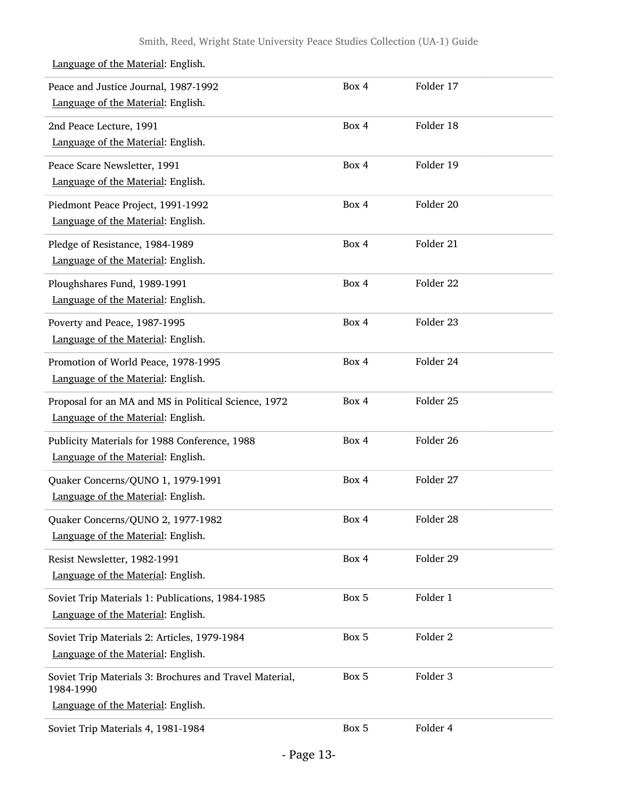#### Peace and Justice Journal, 1987-1992 Language of the Material: English. Box 4 Folder 17 2nd Peace Lecture, 1991 Language of the Material: English. Box 4 Folder 18 Peace Scare Newsletter, 1991 Language of the Material: English. Box 4 Folder 19 Piedmont Peace Project, 1991-1992 Language of the Material: English. Box 4 Folder 20 Pledge of Resistance, 1984-1989 Language of the Material: English. Box 4 Folder 21 Ploughshares Fund, 1989-1991 Language of the Material: English. Box 4 Folder 22 Poverty and Peace, 1987-1995 Language of the Material: English. Box 4 Folder 23 Promotion of World Peace, 1978-1995 Language of the Material: English. Box 4 Folder 24 Proposal for an MA and MS in Political Science, 1972 Language of the Material: English. Box 4 Folder 25 Publicity Materials for 1988 Conference, 1988 Language of the Material: English. Box 4 Folder 26 Quaker Concerns/QUNO 1, 1979-1991 Language of the Material: English. Box 4 Folder 27 Quaker Concerns/QUNO 2, 1977-1982 Language of the Material: English. Box 4 Folder 28 Resist Newsletter, 1982-1991 Language of the Material: English. Box 4 Folder 29 Soviet Trip Materials 1: Publications, 1984-1985 Language of the Material: English. Box 5 Folder 1 Soviet Trip Materials 2: Articles, 1979-1984 Language of the Material: English. Box 5 Folder 2 Soviet Trip Materials 3: Brochures and Travel Material, 1984-1990 Box 5 Folder 3 Language of the Material: English. Soviet Trip Materials 4, 1981-1984 Box 5 Folder 4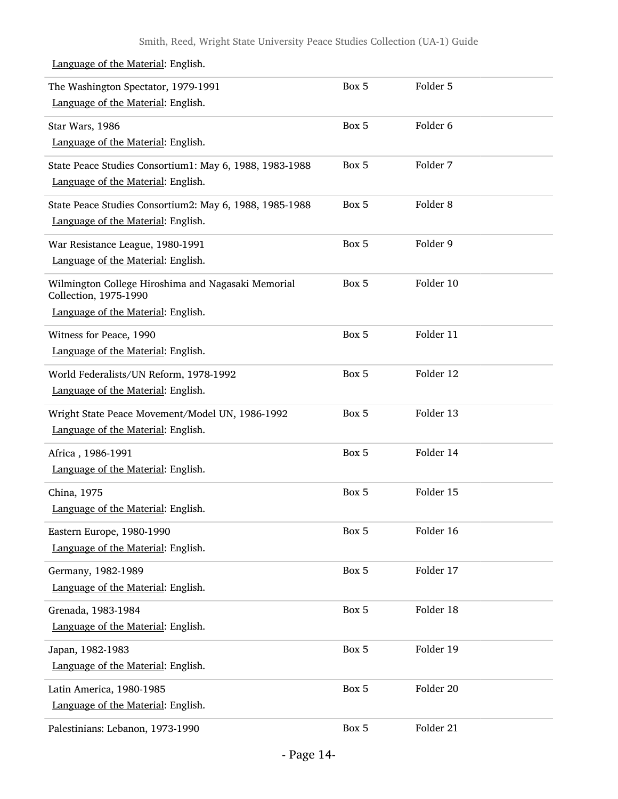| The Washington Spectator, 1979-1991<br>Language of the Material: English.                                         | Box 5 | Folder 5            |  |
|-------------------------------------------------------------------------------------------------------------------|-------|---------------------|--|
| Star Wars, 1986<br>Language of the Material: English.                                                             | Box 5 | Folder <sub>6</sub> |  |
| State Peace Studies Consortium1: May 6, 1988, 1983-1988<br>Language of the Material: English.                     | Box 5 | Folder 7            |  |
| State Peace Studies Consortium2: May 6, 1988, 1985-1988<br>Language of the Material: English.                     | Box 5 | Folder <sub>8</sub> |  |
| War Resistance League, 1980-1991<br>Language of the Material: English.                                            | Box 5 | Folder 9            |  |
| Wilmington College Hiroshima and Nagasaki Memorial<br>Collection, 1975-1990<br>Language of the Material: English. | Box 5 | Folder 10           |  |
| Witness for Peace, 1990<br>Language of the Material: English.                                                     | Box 5 | Folder 11           |  |
| World Federalists/UN Reform, 1978-1992<br>Language of the Material: English.                                      | Box 5 | Folder 12           |  |
| Wright State Peace Movement/Model UN, 1986-1992<br>Language of the Material: English.                             | Box 5 | Folder 13           |  |
| Africa, 1986-1991<br>Language of the Material: English.                                                           | Box 5 | Folder 14           |  |
| China, 1975<br>Language of the Material: English.                                                                 | Box 5 | Folder 15           |  |
| Eastern Europe, 1980-1990<br>Language of the Material: English.                                                   | Box 5 | Folder 16           |  |
| Germany, 1982-1989<br>Language of the Material: English.                                                          | Box 5 | Folder 17           |  |
| Grenada, 1983-1984<br>Language of the Material: English.                                                          | Box 5 | Folder 18           |  |
| Japan, 1982-1983<br>Language of the Material: English.                                                            | Box 5 | Folder 19           |  |
| Latin America, 1980-1985<br>Language of the Material: English.                                                    | Box 5 | Folder 20           |  |
| Palestinians: Lebanon, 1973-1990                                                                                  | Box 5 | Folder 21           |  |